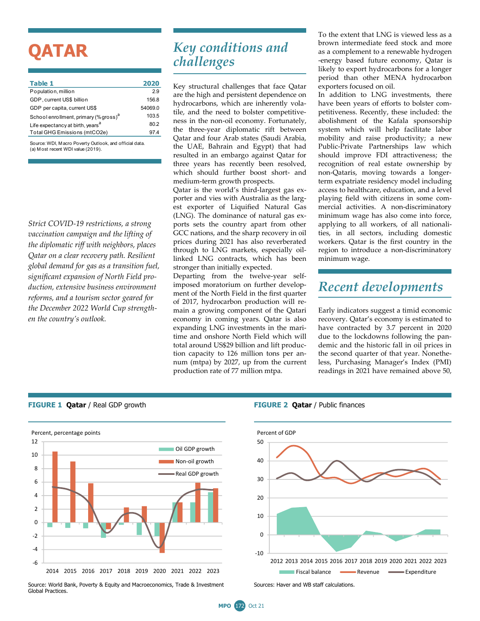# **QATAR**

| Table 1                                           | 2020    |
|---------------------------------------------------|---------|
| Population, million                               | 29      |
| GDP, current US\$ billion                         | 156.8   |
| GDP per capita, current US\$                      | 54069.0 |
| School enrollment, primary (% gross) <sup>a</sup> | 103.5   |
| Life expectancy at birth, years <sup>a</sup>      | 80.2    |
| Total GHG Emissions (mtCO2e)                      | 974     |
|                                                   |         |

Source: WDI, M acro Poverty Outlook, and official data. (a) M ost recent WDI value (2019).

*Strict COVID-19 restrictions, a strong vaccination campaign and the lifting of the diplomatic riff with neighbors, places Qatar on a clear recovery path. Resilient global demand for gas as a transition fuel, significant expansion of North Field production, extensive business environment reforms, and a tourism sector geared for the December 2022 World Cup strengthen the country's outlook.* 

# *Key conditions and challenges*

Key structural challenges that face Qatar are the high and persistent dependence on hydrocarbons, which are inherently volatile, and the need to bolster competitiveness in the non-oil economy. Fortunately, the three-year diplomatic rift between Qatar and four Arab states (Saudi Arabia, the UAE, Bahrain and Egypt) that had resulted in an embargo against Qatar for three years has recently been resolved, which should further boost short- and medium-term growth prospects.

Qatar is the world's third-largest gas exporter and vies with Australia as the largest exporter of Liquified Natural Gas (LNG). The dominance of natural gas exports sets the country apart from other GCC nations, and the sharp recovery in oil prices during 2021 has also reverberated through to LNG markets, especially oillinked LNG contracts, which has been stronger than initially expected.

Departing from the twelve-year selfimposed moratorium on further development of the North Field in the first quarter of 2017, hydrocarbon production will remain a growing component of the Qatari economy in coming years. Qatar is also expanding LNG investments in the maritime and onshore North Field which will total around US\$29 billion and lift production capacity to 126 million tons per annum (mtpa) by 2027, up from the current production rate of 77 million mtpa.

To the extent that LNG is viewed less as a brown intermediate feed stock and more as a complement to a renewable hydrogen -energy based future economy, Qatar is likely to export hydrocarbons for a longer period than other MENA hydrocarbon exporters focused on oil.

In addition to LNG investments, there have been years of efforts to bolster competitiveness. Recently, these included: the abolishment of the Kafala sponsorship system which will help facilitate labor mobility and raise productivity; a new Public-Private Partnerships law which should improve FDI attractiveness; the recognition of real estate ownership by non-Qataris, moving towards a longerterm expatriate residency model including access to healthcare, education, and a level playing field with citizens in some commercial activities. A non-discriminatory minimum wage has also come into force, applying to all workers, of all nationalities, in all sectors, including domestic workers. Qatar is the first country in the region to introduce a non-discriminatory minimum wage.

### *Recent developments*

Early indicators suggest a timid economic recovery. Qatar's economy is estimated to have contracted by 3.7 percent in 2020 due to the lockdowns following the pandemic and the historic fall in oil prices in the second quarter of that year. Nonetheless, Purchasing Manager's Index (PMI) readings in 2021 have remained above 50,



Source: World Bank, Poverty & Equity and Macroeconomics, Trade & Investment Global Practices.





**MPO** 172 Oct 21